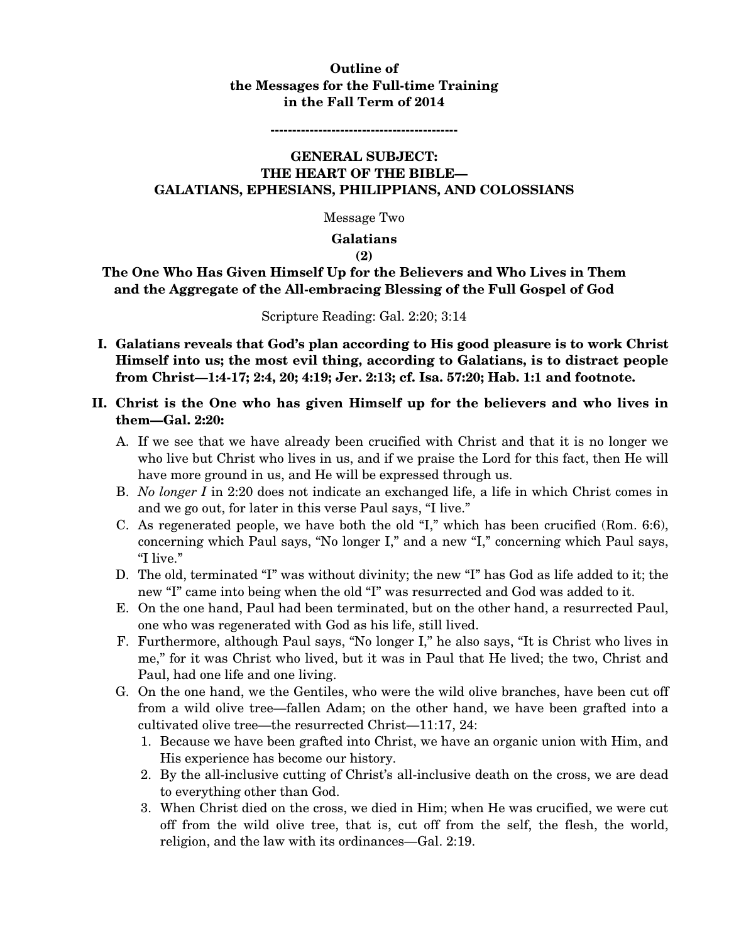## **Outline of the Messages for the Full-time Training in the Fall Term of 2014**

**-------------------------------------------** 

### **GENERAL SUBJECT: THE HEART OF THE BIBLE— GALATIANS, EPHESIANS, PHILIPPIANS, AND COLOSSIANS**

Message Two

#### **Galatians**

#### **(2)**

## **The One Who Has Given Himself Up for the Believers and Who Lives in Them and the Aggregate of the All-embracing Blessing of the Full Gospel of God**

#### Scripture Reading: Gal. 2:20; 3:14

**I. Galatians reveals that God's plan according to His good pleasure is to work Christ Himself into us; the most evil thing, according to Galatians, is to distract people from Christ—1:4-17; 2:4, 20; 4:19; Jer. 2:13; cf. Isa. 57:20; Hab. 1:1 and footnote.** 

## **II. Christ is the One who has given Himself up for the believers and who lives in them—Gal. 2:20:**

- A. If we see that we have already been crucified with Christ and that it is no longer we who live but Christ who lives in us, and if we praise the Lord for this fact, then He will have more ground in us, and He will be expressed through us.
- B. *No longer I* in 2:20 does not indicate an exchanged life, a life in which Christ comes in and we go out, for later in this verse Paul says, "I live."
- C. As regenerated people, we have both the old "I," which has been crucified (Rom. 6:6), concerning which Paul says, "No longer I," and a new "I," concerning which Paul says, "I live."
- D. The old, terminated "I" was without divinity; the new "I" has God as life added to it; the new "I" came into being when the old "I" was resurrected and God was added to it.
- E. On the one hand, Paul had been terminated, but on the other hand, a resurrected Paul, one who was regenerated with God as his life, still lived.
- F. Furthermore, although Paul says, "No longer I," he also says, "It is Christ who lives in me," for it was Christ who lived, but it was in Paul that He lived; the two, Christ and Paul, had one life and one living.
- G. On the one hand, we the Gentiles, who were the wild olive branches, have been cut off from a wild olive tree—fallen Adam; on the other hand, we have been grafted into a cultivated olive tree—the resurrected Christ—11:17, 24:
	- 1. Because we have been grafted into Christ, we have an organic union with Him, and His experience has become our history.
	- 2. By the all-inclusive cutting of Christ's all-inclusive death on the cross, we are dead to everything other than God.
	- 3. When Christ died on the cross, we died in Him; when He was crucified, we were cut off from the wild olive tree, that is, cut off from the self, the flesh, the world, religion, and the law with its ordinances—Gal. 2:19.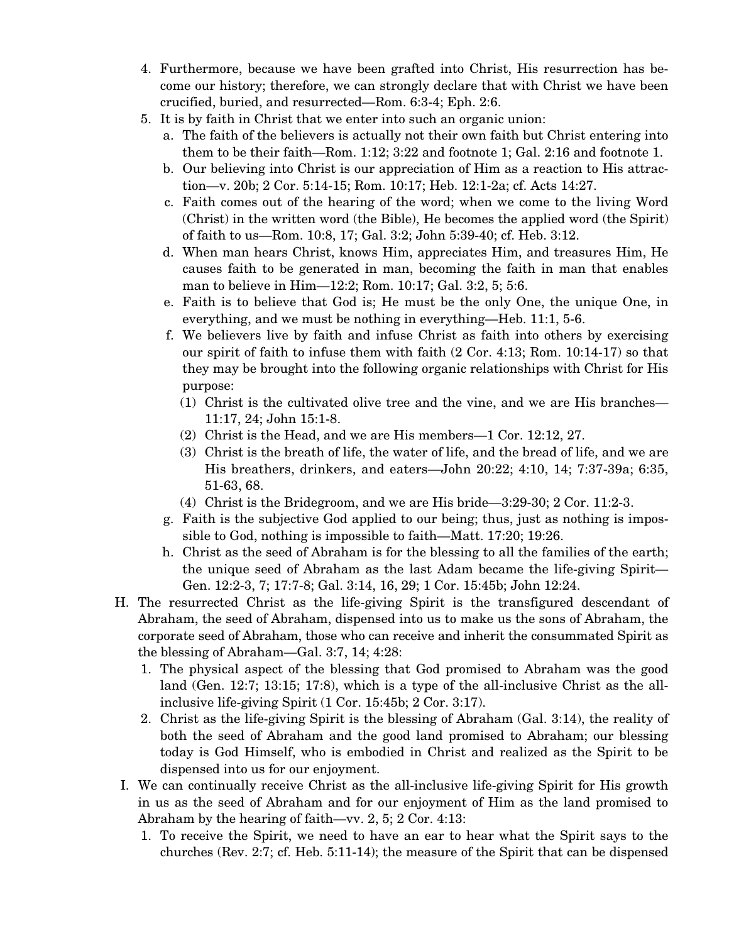- 4. Furthermore, because we have been grafted into Christ, His resurrection has become our history; therefore, we can strongly declare that with Christ we have been crucified, buried, and resurrected—Rom. 6:3-4; Eph. 2:6.
- 5. It is by faith in Christ that we enter into such an organic union:
	- a. The faith of the believers is actually not their own faith but Christ entering into them to be their faith—Rom. 1:12; 3:22 and footnote 1; Gal. 2:16 and footnote 1.
	- b. Our believing into Christ is our appreciation of Him as a reaction to His attraction—v. 20b; 2 Cor. 5:14-15; Rom. 10:17; Heb. 12:1-2a; cf. Acts 14:27.
	- c. Faith comes out of the hearing of the word; when we come to the living Word (Christ) in the written word (the Bible), He becomes the applied word (the Spirit) of faith to us—Rom. 10:8, 17; Gal. 3:2; John 5:39-40; cf. Heb. 3:12.
	- d. When man hears Christ, knows Him, appreciates Him, and treasures Him, He causes faith to be generated in man, becoming the faith in man that enables man to believe in Him—12:2; Rom. 10:17; Gal. 3:2, 5; 5:6.
	- e. Faith is to believe that God is; He must be the only One, the unique One, in everything, and we must be nothing in everything—Heb. 11:1, 5-6.
	- f. We believers live by faith and infuse Christ as faith into others by exercising our spirit of faith to infuse them with faith (2 Cor. 4:13; Rom. 10:14-17) so that they may be brought into the following organic relationships with Christ for His purpose:
		- (1) Christ is the cultivated olive tree and the vine, and we are His branches— 11:17, 24; John 15:1-8.
		- (2) Christ is the Head, and we are His members—1 Cor. 12:12, 27.
		- (3) Christ is the breath of life, the water of life, and the bread of life, and we are His breathers, drinkers, and eaters—John 20:22; 4:10, 14; 7:37-39a; 6:35, 51-63, 68.
		- (4) Christ is the Bridegroom, and we are His bride—3:29-30; 2 Cor. 11:2-3.
	- g. Faith is the subjective God applied to our being; thus, just as nothing is impossible to God, nothing is impossible to faith—Matt. 17:20; 19:26.
	- h. Christ as the seed of Abraham is for the blessing to all the families of the earth; the unique seed of Abraham as the last Adam became the life-giving Spirit— Gen. 12:2-3, 7; 17:7-8; Gal. 3:14, 16, 29; 1 Cor. 15:45b; John 12:24.
- H. The resurrected Christ as the life-giving Spirit is the transfigured descendant of Abraham, the seed of Abraham, dispensed into us to make us the sons of Abraham, the corporate seed of Abraham, those who can receive and inherit the consummated Spirit as the blessing of Abraham—Gal. 3:7, 14; 4:28:
	- 1. The physical aspect of the blessing that God promised to Abraham was the good land (Gen. 12:7; 13:15; 17:8), which is a type of the all-inclusive Christ as the allinclusive life-giving Spirit (1 Cor. 15:45b; 2 Cor. 3:17).
	- 2. Christ as the life-giving Spirit is the blessing of Abraham (Gal. 3:14), the reality of both the seed of Abraham and the good land promised to Abraham; our blessing today is God Himself, who is embodied in Christ and realized as the Spirit to be dispensed into us for our enjoyment.
- I. We can continually receive Christ as the all-inclusive life-giving Spirit for His growth in us as the seed of Abraham and for our enjoyment of Him as the land promised to Abraham by the hearing of faith—vv. 2, 5; 2 Cor. 4:13:
	- 1. To receive the Spirit, we need to have an ear to hear what the Spirit says to the churches (Rev. 2:7; cf. Heb. 5:11-14); the measure of the Spirit that can be dispensed